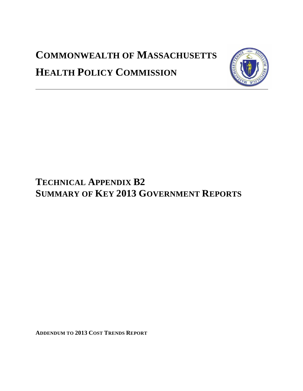# **COMMONWEALTH OF MASSACHUSETTS HEALTH POLICY COMMISSION**



# **TECHNICAL APPENDIX B2 SUMMARY OF KEY 2013 GOVERNMENT REPORTS**

**ADDENDUM TO 2013 COST TRENDS REPORT**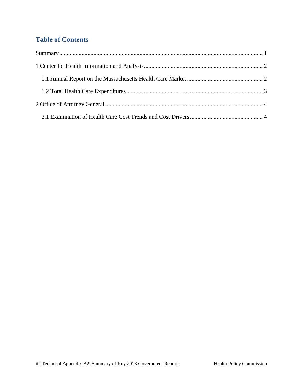# **Table of Contents**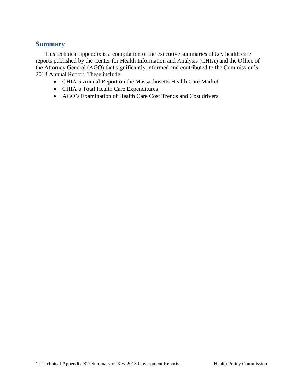#### <span id="page-2-0"></span>**Summary**

This technical appendix is a compilation of the executive summaries of key health care reports published by the Center for Health Information and Analysis (CHIA) and the Office of the Attorney General (AGO) that significantly informed and contributed to the Commission's 2013 Annual Report. These include:

- CHIA's Annual Report on the Massachusetts Health Care Market
- CHIA's Total Health Care Expenditures
- AGO's Examination of Health Care Cost Trends and Cost drivers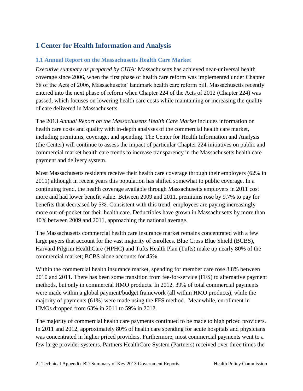## <span id="page-3-0"></span>**1 Center for Health Information and Analysis**

#### <span id="page-3-1"></span>**1.1 Annual Report on the Massachusetts Health Care Market**

*Executive summary as prepared by CHIA:* Massachusetts has achieved near-universal health coverage since 2006, when the first phase of health care reform was implemented under Chapter 58 of the Acts of 2006, Massachusetts' landmark health care reform bill. Massachusetts recently entered into the next phase of reform when Chapter 224 of the Acts of 2012 (Chapter 224) was passed, which focuses on lowering health care costs while maintaining or increasing the quality of care delivered in Massachusetts.

The 2013 *Annual Report on the Massachusetts Health Care Market* includes information on health care costs and quality with in-depth analyses of the commercial health care market, including premiums, coverage, and spending. The Center for Health Information and Analysis (the Center) will continue to assess the impact of particular Chapter 224 initiatives on public and commercial market health care trends to increase transparency in the Massachusetts health care payment and delivery system.

Most Massachusetts residents receive their health care coverage through their employers (62% in 2011) although in recent years this population has shifted somewhat to public coverage. In a continuing trend, the health coverage available through Massachusetts employers in 2011 cost more and had lower benefit value. Between 2009 and 2011, premiums rose by 9.7% to pay for benefits that decreased by 5%. Consistent with this trend, employees are paying increasingly more out-of-pocket for their health care. Deductibles have grown in Massachusetts by more than 40% between 2009 and 2011, approaching the national average.

The Massachusetts commercial health care insurance market remains concentrated with a few large payers that account for the vast majority of enrollees. Blue Cross Blue Shield (BCBS), Harvard Pilgrim HealthCare (HPHC) and Tufts Health Plan (Tufts) make up nearly 80% of the commercial market; BCBS alone accounts for 45%.

Within the commercial health insurance market, spending for member care rose 3.8% between 2010 and 2011. There has been some transition from fee-for-service (FFS) to alternative payment methods, but only in commercial HMO products. In 2012, 39% of total commercial payments were made within a global payment/budget framework (all within HMO products), while the majority of payments (61%) were made using the FFS method. Meanwhile, enrollment in HMOs dropped from 63% in 2011 to 59% in 2012.

The majority of commercial health care payments continued to be made to high priced providers. In 2011 and 2012, approximately 80% of health care spending for acute hospitals and physicians was concentrated in higher priced providers. Furthermore, most commercial payments went to a few large provider systems. Partners HealthCare System (Partners) received over three times the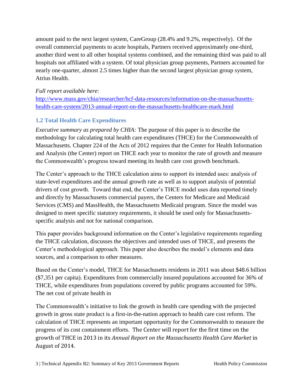amount paid to the next largest system, CareGroup (28.4% and 9.2%, respectively). Of the overall commercial payments to acute hospitals, Partners received approximately one-third, another third went to all other hospital systems combined, and the remaining third was paid to all hospitals not affiliated with a system. Of total physician group payments, Partners accounted for nearly one-quarter, almost 2.5 times higher than the second largest physician group system, Atrius Health.

#### *Full report available here*:

[http://www.mass.gov/chia/researcher/hcf-data-resources/information-on-the-massachusetts](http://www.mass.gov/chia/researcher/hcf-data-resources/information-on-the-massachusetts-health-care-system/2013-annual-report-on-the-massachusetts-healthcare-mark.html)[health-care-system/2013-annual-report-on-the-massachusetts-healthcare-mark.html](http://www.mass.gov/chia/researcher/hcf-data-resources/information-on-the-massachusetts-health-care-system/2013-annual-report-on-the-massachusetts-healthcare-mark.html)

#### <span id="page-4-0"></span>**1.2 Total Health Care Expenditures**

*Executive summary as prepared by CHIA:* The purpose of this paper is to describe the methodology for calculating total health care expenditures (THCE) for the Commonwealth of Massachusetts. Chapter 224 of the Acts of 2012 requires that the Center for Health Information and Analysis (the Center) report on THCE each year to monitor the rate of growth and measure the Commonwealth's progress toward meeting its health care cost growth benchmark.

The Center's approach to the THCE calculation aims to support its intended uses: analysis of state-level expenditures and the annual growth rate as well as to support analysis of potential drivers of cost growth. Toward that end, the Center's THCE model uses data reported timely and directly by Massachusetts commercial payers, the Centers for Medicare and Medicaid Services (CMS) and MassHealth, the Massachusetts Medicaid program. Since the model was designed to meet specific statutory requirements, it should be used only for Massachusettsspecific analysis and not for national comparison.

This paper provides background information on the Center's legislative requirements regarding the THCE calculation, discusses the objectives and intended uses of THCE, and presents the Center's methodological approach. This paper also describes the model's elements and data sources, and a comparison to other measures.

Based on the Center's model, THCE for Massachusetts residents in 2011 was about \$48.6 billion (\$7,351 per capita). Expenditures from commercially insured populations accounted for 36% of THCE, while expenditures from populations covered by public programs accounted for 59%. The net cost of private health in

The Commonwealth's initiative to link the growth in health care spending with the projected growth in gross state product is a first-in-the-nation approach to health care cost reform. The calculation of THCE represents an important opportunity for the Commonwealth to measure the progress of its cost containment efforts. The Center will report for the first time on the growth of THCE in 2013 in its *Annual Report on the Massachusetts Health Care Market* in August of 2014.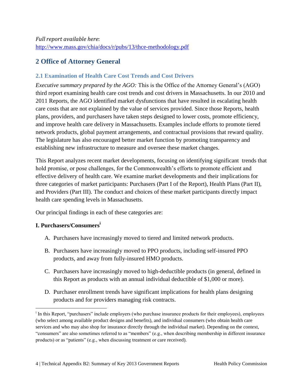## <span id="page-5-0"></span>**2 Office of Attorney General**

#### <span id="page-5-1"></span>**2.1 Examination of Health Care Cost Trends and Cost Drivers**

*Executive summary prepared by the AGO:* This is the Office of the Attorney General's (AGO) third report examining health care cost trends and cost drivers in Massachusetts. In our 2010 and 2011 Reports, the AGO identified market dysfunctions that have resulted in escalating health care costs that are not explained by the value of services provided. Since those Reports, health plans, providers, and purchasers have taken steps designed to lower costs, promote efficiency, and improve health care delivery in Massachusetts. Examples include efforts to promote tiered network products, global payment arrangements, and contractual provisions that reward quality. The legislature has also encouraged better market function by promoting transparency and establishing new infrastructure to measure and oversee these market changes.

This Report analyzes recent market developments, focusing on identifying significant trends that hold promise, or pose challenges, for the Commonwealth's efforts to promote efficient and effective delivery of health care. We examine market developments and their implications for three categories of market participants: Purchasers (Part I of the Report), Health Plans (Part II), and Providers (Part III). The conduct and choices of these market participants directly impact health care spending levels in Massachusetts.

Our principal findings in each of these categories are:

#### **I. Purchasers/Consumers<sup>i</sup>**

 $\overline{a}$ 

- A. Purchasers have increasingly moved to tiered and limited network products.
- B. Purchasers have increasingly moved to PPO products, including self-insured PPO products, and away from fully-insured HMO products.
- C. Purchasers have increasingly moved to high-deductible products (in general, defined in this Report as products with an annual individual deductible of \$1,000 or more).
- D. Purchaser enrollment trends have significant implications for health plans designing products and for providers managing risk contracts.

<sup>&</sup>lt;sup>i</sup> In this Report, "purchasers" include employers (who purchase insurance products for their employees), employees (who select among available product designs and benefits), and individual consumers (who obtain health care services and who may also shop for insurance directly through the individual market). Depending on the context, "consumers" are also sometimes referred to as "members" (e.g., when describing membership in different insurance products) or as "patients" (e.g., when discussing treatment or care received).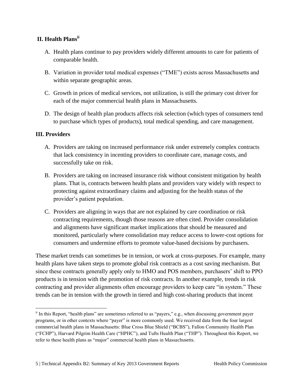#### **II. Health Plansii**

- A. Health plans continue to pay providers widely different amounts to care for patients of comparable health.
- B. Variation in provider total medical expenses ("TME") exists across Massachusetts and within separate geographic areas.
- C. Growth in prices of medical services, not utilization, is still the primary cost driver for each of the major commercial health plans in Massachusetts.
- D. The design of health plan products affects risk selection (which types of consumers tend to purchase which types of products), total medical spending, and care management.

#### **III. Providers**

 $\overline{a}$ 

- A. Providers are taking on increased performance risk under extremely complex contracts that lack consistency in incenting providers to coordinate care, manage costs, and successfully take on risk.
- B. Providers are taking on increased insurance risk without consistent mitigation by health plans. That is, contracts between health plans and providers vary widely with respect to protecting against extraordinary claims and adjusting for the health status of the provider's patient population.
- C. Providers are aligning in ways that are not explained by care coordination or risk contracting requirements, though those reasons are often cited. Provider consolidation and alignments have significant market implications that should be measured and monitored, particularly where consolidation may reduce access to lower-cost options for consumers and undermine efforts to promote value-based decisions by purchasers.

These market trends can sometimes be in tension, or work at cross-purposes. For example, many health plans have taken steps to promote global risk contracts as a cost saving mechanism. But since these contracts generally apply only to HMO and POS members, purchasers' shift to PPO products is in tension with the promotion of risk contracts. In another example, trends in risk contracting and provider alignments often encourage providers to keep care "in system." These trends can be in tension with the growth in tiered and high cost-sharing products that incent

ii In this Report, "health plans" are sometimes referred to as "payers," e.g., when discussing government payer programs, or in other contexts where "payer" is more commonly used. We received data from the four largest commercial health plans in Massachusetts: Blue Cross Blue Shield ("BCBS"), Fallon Community Health Plan ("FCHP"), Harvard Pilgrim Health Care ("HPHC"), and Tufts Health Plan ("THP"). Throughout this Report, we refer to these health plans as "major" commercial health plans in Massachusetts.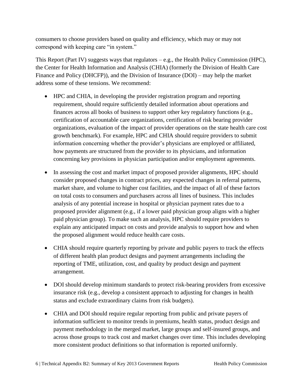consumers to choose providers based on quality and efficiency, which may or may not correspond with keeping care "in system."

This Report (Part IV) suggests ways that regulators – e.g., the Health Policy Commission (HPC), the Center for Health Information and Analysis (CHIA) (formerly the Division of Health Care Finance and Policy (DHCFP)), and the Division of Insurance (DOI) – may help the market address some of these tensions. We recommend:

- HPC and CHIA, in developing the provider registration program and reporting requirement, should require sufficiently detailed information about operations and finances across all books of business to support other key regulatory functions (e.g., certification of accountable care organizations, certification of risk bearing provider organizations, evaluation of the impact of provider operations on the state health care cost growth benchmark). For example, HPC and CHIA should require providers to submit information concerning whether the provider's physicians are employed or affiliated, how payments are structured from the provider to its physicians, and information concerning key provisions in physician participation and/or employment agreements.
- In assessing the cost and market impact of proposed provider alignments, HPC should consider proposed changes in contract prices, any expected changes in referral patterns, market share, and volume to higher cost facilities, and the impact of all of these factors on total costs to consumers and purchasers across all lines of business. This includes analysis of any potential increase in hospital or physician payment rates due to a proposed provider alignment (e.g., if a lower paid physician group aligns with a higher paid physician group). To make such an analysis, HPC should require providers to explain any anticipated impact on costs and provide analysis to support how and when the proposed alignment would reduce health care costs.
- CHIA should require quarterly reporting by private and public payers to track the effects of different health plan product designs and payment arrangements including the reporting of TME, utilization, cost, and quality by product design and payment arrangement.
- DOI should develop minimum standards to protect risk-bearing providers from excessive insurance risk (e.g., develop a consistent approach to adjusting for changes in health status and exclude extraordinary claims from risk budgets).
- CHIA and DOI should require regular reporting from public and private payers of information sufficient to monitor trends in premiums, health status, product design and payment methodology in the merged market, large groups and self-insured groups, and across those groups to track cost and market changes over time. This includes developing more consistent product definitions so that information is reported uniformly.